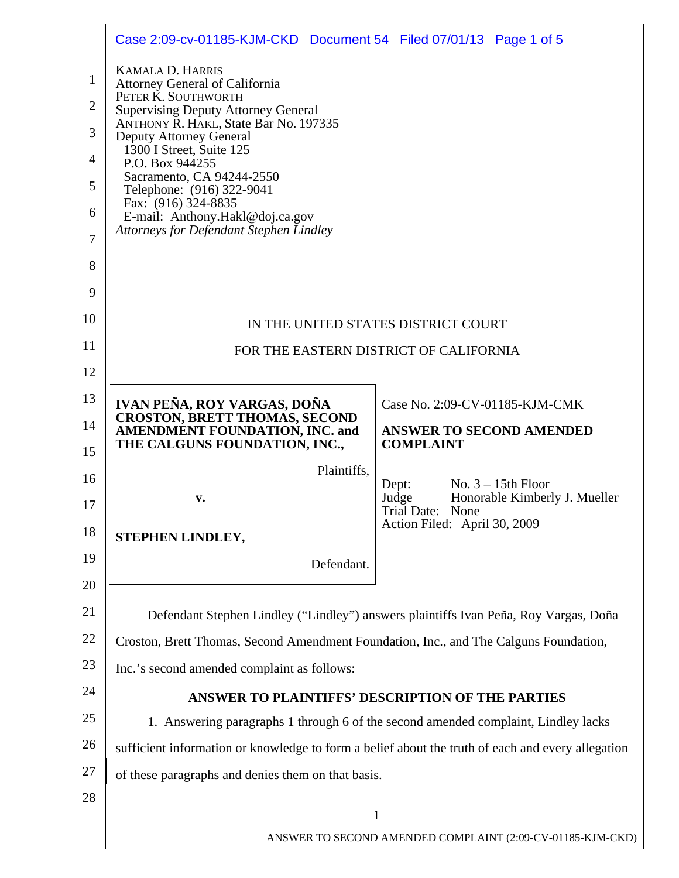|                | Case 2:09-cv-01185-KJM-CKD Document 54 Filed 07/01/13 Page 1 of 5                                                                                                                                                                                   |                                                                                                 |  |  |
|----------------|-----------------------------------------------------------------------------------------------------------------------------------------------------------------------------------------------------------------------------------------------------|-------------------------------------------------------------------------------------------------|--|--|
| $\mathbf{1}$   | <b>KAMALA D. HARRIS</b>                                                                                                                                                                                                                             |                                                                                                 |  |  |
| $\overline{2}$ | <b>Attorney General of California</b><br>PETER K. SOUTHWORTH                                                                                                                                                                                        |                                                                                                 |  |  |
| 3              | <b>Supervising Deputy Attorney General</b><br>ANTHONY R. HAKL, State Bar No. 197335                                                                                                                                                                 |                                                                                                 |  |  |
| $\overline{4}$ | <b>Deputy Attorney General</b><br>1300 I Street, Suite 125<br>P.O. Box 944255<br>Sacramento, CA 94244-2550<br>Telephone: (916) 322-9041<br>Fax: (916) 324-8835<br>E-mail: Anthony.Hakl@doj.ca.gov<br><b>Attorneys for Defendant Stephen Lindley</b> |                                                                                                 |  |  |
| 5              |                                                                                                                                                                                                                                                     |                                                                                                 |  |  |
| 6              |                                                                                                                                                                                                                                                     |                                                                                                 |  |  |
| $\overline{7}$ |                                                                                                                                                                                                                                                     |                                                                                                 |  |  |
| 8              |                                                                                                                                                                                                                                                     |                                                                                                 |  |  |
| 9              |                                                                                                                                                                                                                                                     |                                                                                                 |  |  |
| 10             | IN THE UNITED STATES DISTRICT COURT                                                                                                                                                                                                                 |                                                                                                 |  |  |
| 11             | FOR THE EASTERN DISTRICT OF CALIFORNIA                                                                                                                                                                                                              |                                                                                                 |  |  |
| 12             |                                                                                                                                                                                                                                                     |                                                                                                 |  |  |
| 13             | IVAN PEÑA, ROY VARGAS, DOÑA                                                                                                                                                                                                                         | Case No. 2:09-CV-01185-KJM-CMK                                                                  |  |  |
| 14             | <b>CROSTON, BRETT THOMAS, SECOND</b><br><b>AMENDMENT FOUNDATION, INC. and</b><br>THE CALGUNS FOUNDATION, INC.,                                                                                                                                      | <b>ANSWER TO SECOND AMENDED</b><br><b>COMPLAINT</b>                                             |  |  |
| 15             | Plaintiffs,                                                                                                                                                                                                                                         |                                                                                                 |  |  |
| 16<br>17       | v.                                                                                                                                                                                                                                                  | No. $3 - 15$ th Floor<br>Dept:<br>Honorable Kimberly J. Mueller<br>Judge<br>Trial Date:<br>None |  |  |
| 18             | STEPHEN LINDLEY,                                                                                                                                                                                                                                    | Action Filed: April 30, 2009                                                                    |  |  |
| 19             | Defendant.                                                                                                                                                                                                                                          |                                                                                                 |  |  |
| 20             |                                                                                                                                                                                                                                                     |                                                                                                 |  |  |
| 21             |                                                                                                                                                                                                                                                     | Defendant Stephen Lindley ("Lindley") answers plaintiffs Ivan Peña, Roy Vargas, Doña            |  |  |
| 22             | Croston, Brett Thomas, Second Amendment Foundation, Inc., and The Calguns Foundation,                                                                                                                                                               |                                                                                                 |  |  |
| 23             | Inc.'s second amended complaint as follows:                                                                                                                                                                                                         |                                                                                                 |  |  |
| 24             | ANSWER TO PLAINTIFFS' DESCRIPTION OF THE PARTIES                                                                                                                                                                                                    |                                                                                                 |  |  |
| 25             | 1. Answering paragraphs 1 through 6 of the second amended complaint, Lindley lacks                                                                                                                                                                  |                                                                                                 |  |  |
| 26             | sufficient information or knowledge to form a belief about the truth of each and every allegation                                                                                                                                                   |                                                                                                 |  |  |
| 27             | of these paragraphs and denies them on that basis.                                                                                                                                                                                                  |                                                                                                 |  |  |
| 28             | $\mathbf{1}$                                                                                                                                                                                                                                        |                                                                                                 |  |  |
|                | ANSWER TO SECOND AMENDED COMPLAINT (2:09-CV-01185-KJM-CKD)                                                                                                                                                                                          |                                                                                                 |  |  |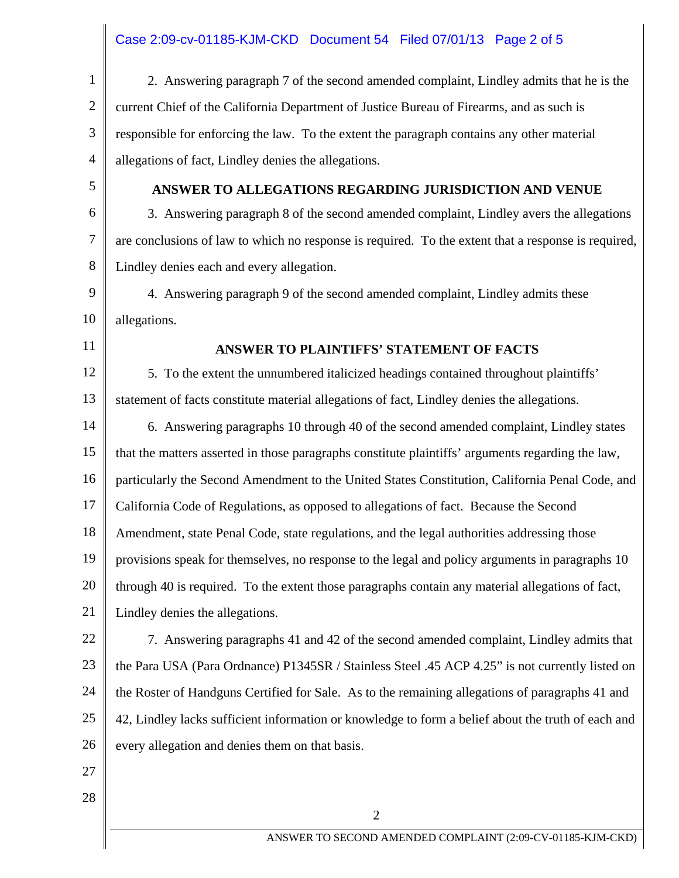# Case 2:09-cv-01185-KJM-CKD Document 54 Filed 07/01/13 Page 2 of 5

| $\mathbf{1}$   | 2. Answering paragraph 7 of the second amended complaint, Lindley admits that he is the             |  |  |
|----------------|-----------------------------------------------------------------------------------------------------|--|--|
| $\overline{c}$ | current Chief of the California Department of Justice Bureau of Firearms, and as such is            |  |  |
| 3              | responsible for enforcing the law. To the extent the paragraph contains any other material          |  |  |
| 4              | allegations of fact, Lindley denies the allegations.                                                |  |  |
| 5              | ANSWER TO ALLEGATIONS REGARDING JURISDICTION AND VENUE                                              |  |  |
| 6              | 3. Answering paragraph 8 of the second amended complaint, Lindley avers the allegations             |  |  |
| 7              | are conclusions of law to which no response is required. To the extent that a response is required, |  |  |
| 8              | Lindley denies each and every allegation.                                                           |  |  |
| 9              | 4. Answering paragraph 9 of the second amended complaint, Lindley admits these                      |  |  |
| 10             | allegations.                                                                                        |  |  |
| 11             | <b>ANSWER TO PLAINTIFFS' STATEMENT OF FACTS</b>                                                     |  |  |
| 12             | 5. To the extent the unnumbered italicized headings contained throughout plaintiffs'                |  |  |
| 13             | statement of facts constitute material allegations of fact, Lindley denies the allegations.         |  |  |
| 14             | 6. Answering paragraphs 10 through 40 of the second amended complaint, Lindley states               |  |  |
| 15             | that the matters asserted in those paragraphs constitute plaintiffs' arguments regarding the law,   |  |  |
| 16             | particularly the Second Amendment to the United States Constitution, California Penal Code, and     |  |  |
| 17             | California Code of Regulations, as opposed to allegations of fact. Because the Second               |  |  |
| 18             | Amendment, state Penal Code, state regulations, and the legal authorities addressing those          |  |  |
| 19             | provisions speak for themselves, no response to the legal and policy arguments in paragraphs 10     |  |  |
| 20             | through 40 is required. To the extent those paragraphs contain any material allegations of fact,    |  |  |
| 21             | Lindley denies the allegations.                                                                     |  |  |
| 22             | 7. Answering paragraphs 41 and 42 of the second amended complaint, Lindley admits that              |  |  |
| 23             | the Para USA (Para Ordnance) P1345SR / Stainless Steel .45 ACP 4.25" is not currently listed on     |  |  |
| 24             | the Roster of Handguns Certified for Sale. As to the remaining allegations of paragraphs 41 and     |  |  |
| 25             | 42, Lindley lacks sufficient information or knowledge to form a belief about the truth of each and  |  |  |
| 26             | every allegation and denies them on that basis.                                                     |  |  |
| 27             |                                                                                                     |  |  |
| 28             |                                                                                                     |  |  |
|                | $\overline{2}$                                                                                      |  |  |
|                | ANSWER TO SECOND AMENDED COMPLAINT (2:09-CV-01185-KJM-CKD)                                          |  |  |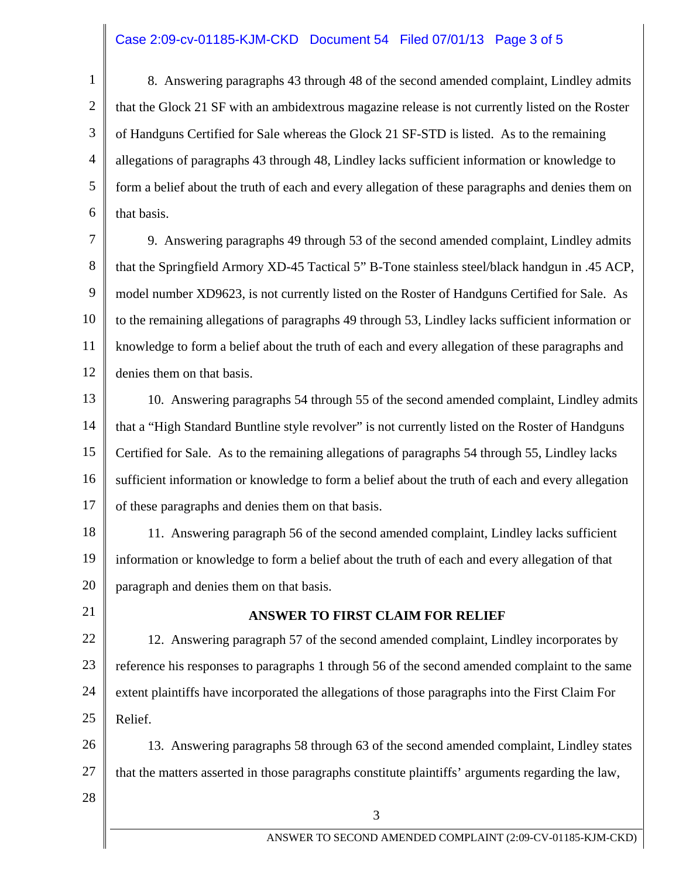## Case 2:09-cv-01185-KJM-CKD Document 54 Filed 07/01/13 Page 3 of 5

1 2 3 4 5 6 8. Answering paragraphs 43 through 48 of the second amended complaint, Lindley admits that the Glock 21 SF with an ambidextrous magazine release is not currently listed on the Roster of Handguns Certified for Sale whereas the Glock 21 SF-STD is listed. As to the remaining allegations of paragraphs 43 through 48, Lindley lacks sufficient information or knowledge to form a belief about the truth of each and every allegation of these paragraphs and denies them on that basis.

7 8 9 10 11 12 9. Answering paragraphs 49 through 53 of the second amended complaint, Lindley admits that the Springfield Armory XD-45 Tactical 5" B-Tone stainless steel/black handgun in .45 ACP, model number XD9623, is not currently listed on the Roster of Handguns Certified for Sale. As to the remaining allegations of paragraphs 49 through 53, Lindley lacks sufficient information or knowledge to form a belief about the truth of each and every allegation of these paragraphs and denies them on that basis.

13 14 15 16 17 10. Answering paragraphs 54 through 55 of the second amended complaint, Lindley admits that a "High Standard Buntline style revolver" is not currently listed on the Roster of Handguns Certified for Sale. As to the remaining allegations of paragraphs 54 through 55, Lindley lacks sufficient information or knowledge to form a belief about the truth of each and every allegation of these paragraphs and denies them on that basis.

18 19 20 11. Answering paragraph 56 of the second amended complaint, Lindley lacks sufficient information or knowledge to form a belief about the truth of each and every allegation of that paragraph and denies them on that basis.

21

### **ANSWER TO FIRST CLAIM FOR RELIEF**

22 23 24 25 12. Answering paragraph 57 of the second amended complaint, Lindley incorporates by reference his responses to paragraphs 1 through 56 of the second amended complaint to the same extent plaintiffs have incorporated the allegations of those paragraphs into the First Claim For Relief.

26 27 13. Answering paragraphs 58 through 63 of the second amended complaint, Lindley states that the matters asserted in those paragraphs constitute plaintiffs' arguments regarding the law,

28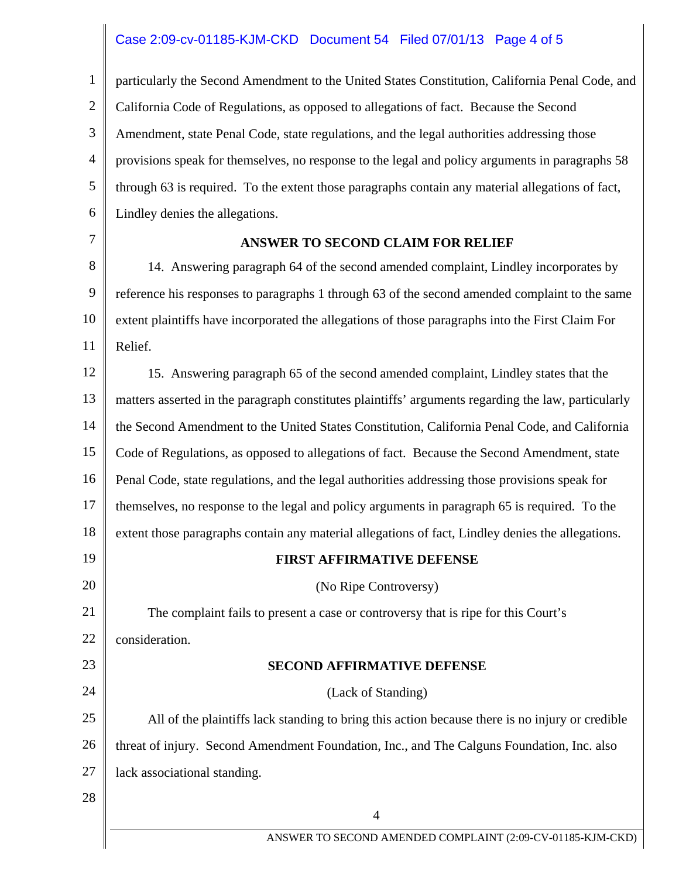## Case 2:09-cv-01185-KJM-CKD Document 54 Filed 07/01/13 Page 4 of 5

1 2 3 4 5 6 particularly the Second Amendment to the United States Constitution, California Penal Code, and California Code of Regulations, as opposed to allegations of fact. Because the Second Amendment, state Penal Code, state regulations, and the legal authorities addressing those provisions speak for themselves, no response to the legal and policy arguments in paragraphs 58 through 63 is required. To the extent those paragraphs contain any material allegations of fact, Lindley denies the allegations.

7

#### **ANSWER TO SECOND CLAIM FOR RELIEF**

8 9 10 11 14. Answering paragraph 64 of the second amended complaint, Lindley incorporates by reference his responses to paragraphs 1 through 63 of the second amended complaint to the same extent plaintiffs have incorporated the allegations of those paragraphs into the First Claim For Relief.

12 13 14 15 16 17 18 19 20 21 22 23 15. Answering paragraph 65 of the second amended complaint, Lindley states that the matters asserted in the paragraph constitutes plaintiffs' arguments regarding the law, particularly the Second Amendment to the United States Constitution, California Penal Code, and California Code of Regulations, as opposed to allegations of fact. Because the Second Amendment, state Penal Code, state regulations, and the legal authorities addressing those provisions speak for themselves, no response to the legal and policy arguments in paragraph 65 is required. To the extent those paragraphs contain any material allegations of fact, Lindley denies the allegations. **FIRST AFFIRMATIVE DEFENSE**  (No Ripe Controversy) The complaint fails to present a case or controversy that is ripe for this Court's consideration.

#### **SECOND AFFIRMATIVE DEFENSE**

4

24 25 26 27 (Lack of Standing) All of the plaintiffs lack standing to bring this action because there is no injury or credible threat of injury. Second Amendment Foundation, Inc., and The Calguns Foundation, Inc. also lack associational standing.

28